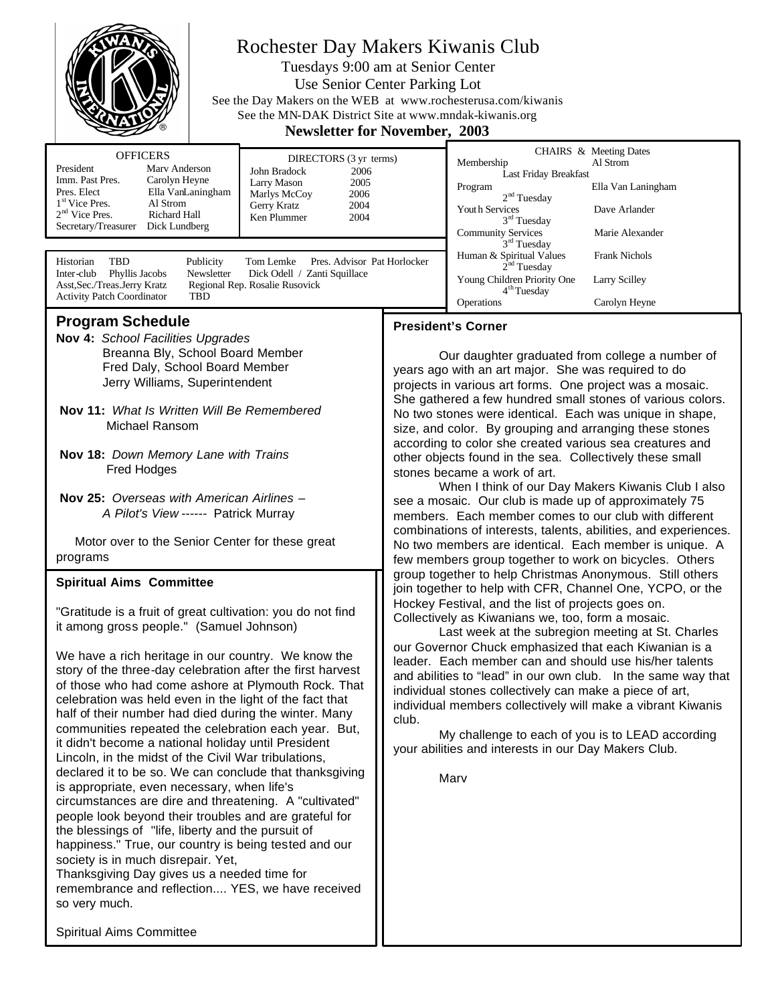

# Rochester Day Makers Kiwanis Club

Tuesdays 9:00 am at Senior Center Use Senior Center Parking Lot See the Day Makers on the WEB at www.rochesterusa.com/kiwanis See the MN-DAK District Site at www.mndak-kiwanis.org<br>Newsletter for Nevember 2003 **Newsletter for Nove** 

| <b>Newsletter for November, 2003</b>                                                                                                                                                                                                                                                                                                                                                                                                                                                                                                                                                                                                                                                                                                                                                                                                                                                                                                                                                                                                                                                                                                                                                                                                                                                                                                                                                                                                                                                                                                                                            |  |                                                                                                                                                                                                                                                                                                                                                                                                                                                                                                                                                                                                                                                                                                                                                                                                                                                                                                                                                                                                                                                                                                                                                                                                                                                                                                                                                                                                                                                                                                                                                                                                                                                                                                |                                                                                                                                                                                                                                       |                                                                                                                      |
|---------------------------------------------------------------------------------------------------------------------------------------------------------------------------------------------------------------------------------------------------------------------------------------------------------------------------------------------------------------------------------------------------------------------------------------------------------------------------------------------------------------------------------------------------------------------------------------------------------------------------------------------------------------------------------------------------------------------------------------------------------------------------------------------------------------------------------------------------------------------------------------------------------------------------------------------------------------------------------------------------------------------------------------------------------------------------------------------------------------------------------------------------------------------------------------------------------------------------------------------------------------------------------------------------------------------------------------------------------------------------------------------------------------------------------------------------------------------------------------------------------------------------------------------------------------------------------|--|------------------------------------------------------------------------------------------------------------------------------------------------------------------------------------------------------------------------------------------------------------------------------------------------------------------------------------------------------------------------------------------------------------------------------------------------------------------------------------------------------------------------------------------------------------------------------------------------------------------------------------------------------------------------------------------------------------------------------------------------------------------------------------------------------------------------------------------------------------------------------------------------------------------------------------------------------------------------------------------------------------------------------------------------------------------------------------------------------------------------------------------------------------------------------------------------------------------------------------------------------------------------------------------------------------------------------------------------------------------------------------------------------------------------------------------------------------------------------------------------------------------------------------------------------------------------------------------------------------------------------------------------------------------------------------------------|---------------------------------------------------------------------------------------------------------------------------------------------------------------------------------------------------------------------------------------|----------------------------------------------------------------------------------------------------------------------|
| <b>OFFICERS</b><br>DIRECTORS (3 yr terms)<br>Marv Anderson<br>President<br>John Bradock<br>2006<br>Imm. Past Pres.<br>Carolyn Heyne<br>Larry Mason<br>2005<br>Pres. Elect<br>Ella VanLaningham<br>Marlys McCoy<br>2006<br>$1st$ Vice Pres.<br>Al Strom<br>Gerry Kratz<br>2004<br>$2nd$ Vice Pres.<br>Richard Hall<br>Ken Plummer<br>2004<br>Secretary/Treasurer Dick Lundberg<br>Historian<br>Pres. Advisor Pat Horlocker<br>TBD<br>Publicity<br>Tom Lemke<br>Newsletter<br>Dick Odell / Zanti Squillace<br>Phyllis Jacobs                                                                                                                                                                                                                                                                                                                                                                                                                                                                                                                                                                                                                                                                                                                                                                                                                                                                                                                                                                                                                                                      |  |                                                                                                                                                                                                                                                                                                                                                                                                                                                                                                                                                                                                                                                                                                                                                                                                                                                                                                                                                                                                                                                                                                                                                                                                                                                                                                                                                                                                                                                                                                                                                                                                                                                                                                | Membership<br>Last Friday Breakfast<br>Program<br>2 <sup>nd</sup> Tuesday<br>Youth Services<br>3 <sup>rd</sup> Tuesday<br><b>Community Services</b><br>3 <sup>rd</sup> Tuesday<br>Human & Spiritual Values<br>2 <sup>nd</sup> Tuesday | CHAIRS & Meeting Dates<br>Al Strom<br>Ella Van Laningham<br>Dave Arlander<br>Marie Alexander<br><b>Frank Nichols</b> |
| Asst, Sec./Treas.Jerry Kratz<br>Regional Rep. Rosalie Rusovick<br><b>Activity Patch Coordinator</b><br><b>TBD</b>                                                                                                                                                                                                                                                                                                                                                                                                                                                                                                                                                                                                                                                                                                                                                                                                                                                                                                                                                                                                                                                                                                                                                                                                                                                                                                                                                                                                                                                               |  |                                                                                                                                                                                                                                                                                                                                                                                                                                                                                                                                                                                                                                                                                                                                                                                                                                                                                                                                                                                                                                                                                                                                                                                                                                                                                                                                                                                                                                                                                                                                                                                                                                                                                                | 4 <sup>th</sup> Tuesday<br>Operations                                                                                                                                                                                                 | Carolyn Heyne                                                                                                        |
| Inter-club<br><b>Program Schedule</b><br>Nov 4: School Facilities Upgrades<br>Breanna Bly, School Board Member<br>Fred Daly, School Board Member<br>Jerry Williams, Superintendent<br>Nov 11: What Is Written Will Be Remembered<br>Michael Ransom<br>Nov 18: Down Memory Lane with Trains<br>Fred Hodges<br><b>Nov 25:</b> Overseas with American Airlines -<br>A Pilot's View ------ Patrick Murray<br>Motor over to the Senior Center for these great<br>programs<br><b>Spiritual Aims Committee</b><br>"Gratitude is a fruit of great cultivation: you do not find<br>it among gross people." (Samuel Johnson)<br>We have a rich heritage in our country. We know the<br>story of the three-day celebration after the first harvest<br>of those who had come ashore at Plymouth Rock. That<br>celebration was held even in the light of the fact that<br>half of their number had died during the winter. Many<br>communities repeated the celebration each year. But,<br>it didn't become a national holiday until President<br>Lincoln, in the midst of the Civil War tribulations,<br>declared it to be so. We can conclude that thanksgiving<br>is appropriate, even necessary, when life's<br>circumstances are dire and threatening. A "cultivated"<br>people look beyond their troubles and are grateful for<br>the blessings of "life, liberty and the pursuit of<br>happiness." True, our country is being tested and our<br>society is in much disrepair. Yet,<br>Thanksgiving Day gives us a needed time for<br>remembrance and reflection YES, we have received |  | Young Children Priority One<br>Larry Scilley<br><b>President's Corner</b><br>Our daughter graduated from college a number of<br>years ago with an art major. She was required to do<br>projects in various art forms. One project was a mosaic.<br>She gathered a few hundred small stones of various colors.<br>No two stones were identical. Each was unique in shape,<br>size, and color. By grouping and arranging these stones<br>according to color she created various sea creatures and<br>other objects found in the sea. Collectively these small<br>stones became a work of art.<br>When I think of our Day Makers Kiwanis Club I also<br>see a mosaic. Our club is made up of approximately 75<br>members. Each member comes to our club with different<br>combinations of interests, talents, abilities, and experiences.<br>No two members are identical. Each member is unique. A<br>few members group together to work on bicycles. Others<br>group together to help Christmas Anonymous. Still others<br>join together to help with CFR, Channel One, YCPO, or the<br>Hockey Festival, and the list of projects goes on.<br>Collectively as Kiwanians we, too, form a mosaic.<br>Last week at the subregion meeting at St. Charles<br>our Governor Chuck emphasized that each Kiwanian is a<br>leader. Each member can and should use his/her talents<br>and abilities to "lead" in our own club. In the same way that<br>individual stones collectively can make a piece of art,<br>individual members collectively will make a vibrant Kiwanis<br>club.<br>My challenge to each of you is to LEAD according<br>your abilities and interests in our Day Makers Club.<br>Marv |                                                                                                                                                                                                                                       |                                                                                                                      |

Spiritual Aims Committee

so very much.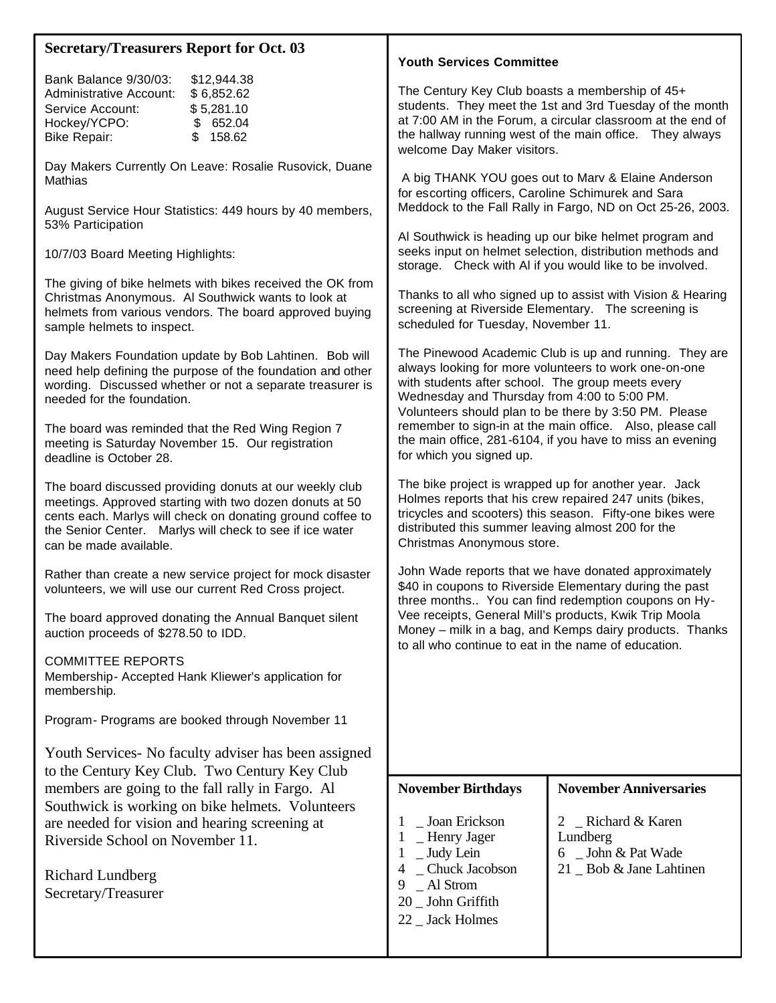| <b>Secretary/Treasurers Report for Oct. 03</b>                                                                                                                                                                                                                         |                                                                                                                                                                                                                                                                                                                                                     |  |  |
|------------------------------------------------------------------------------------------------------------------------------------------------------------------------------------------------------------------------------------------------------------------------|-----------------------------------------------------------------------------------------------------------------------------------------------------------------------------------------------------------------------------------------------------------------------------------------------------------------------------------------------------|--|--|
|                                                                                                                                                                                                                                                                        | <b>Youth Services Committee</b>                                                                                                                                                                                                                                                                                                                     |  |  |
| Bank Balance 9/30/03:<br>\$12,944.38<br>Administrative Account:<br>\$6,852.62<br>Service Account:<br>\$5,281.10<br>Hockey/YCPO:<br>\$652.04<br>\$158.62<br><b>Bike Repair:</b>                                                                                         | The Century Key Club boasts a membership of 45+<br>students. They meet the 1st and 3rd Tuesday of the month<br>at 7:00 AM in the Forum, a circular classroom at the end of<br>the hallway running west of the main office. They always<br>welcome Day Maker visitors.                                                                               |  |  |
| Day Makers Currently On Leave: Rosalie Rusovick, Duane<br>Mathias                                                                                                                                                                                                      | A big THANK YOU goes out to Marv & Elaine Anderson<br>for escorting officers, Caroline Schimurek and Sara<br>Meddock to the Fall Rally in Fargo, ND on Oct 25-26, 2003.                                                                                                                                                                             |  |  |
| August Service Hour Statistics: 449 hours by 40 members,<br>53% Participation                                                                                                                                                                                          |                                                                                                                                                                                                                                                                                                                                                     |  |  |
| 10/7/03 Board Meeting Highlights:                                                                                                                                                                                                                                      | Al Southwick is heading up our bike helmet program and<br>seeks input on helmet selection, distribution methods and<br>storage. Check with AI if you would like to be involved.                                                                                                                                                                     |  |  |
| The giving of bike helmets with bikes received the OK from<br>Christmas Anonymous. Al Southwick wants to look at<br>helmets from various vendors. The board approved buying<br>sample helmets to inspect.                                                              | Thanks to all who signed up to assist with Vision & Hearing<br>screening at Riverside Elementary. The screening is<br>scheduled for Tuesday, November 11.                                                                                                                                                                                           |  |  |
| Day Makers Foundation update by Bob Lahtinen. Bob will<br>need help defining the purpose of the foundation and other<br>wording. Discussed whether or not a separate treasurer is<br>needed for the foundation.                                                        | The Pinewood Academic Club is up and running. They are<br>always looking for more volunteers to work one-on-one<br>with students after school. The group meets every<br>Wednesday and Thursday from 4:00 to 5:00 PM.<br>Volunteers should plan to be there by 3:50 PM. Please                                                                       |  |  |
| The board was reminded that the Red Wing Region 7<br>meeting is Saturday November 15. Our registration<br>deadline is October 28.                                                                                                                                      | remember to sign-in at the main office. Also, please call<br>the main office, 281-6104, if you have to miss an evening<br>for which you signed up.                                                                                                                                                                                                  |  |  |
| The board discussed providing donuts at our weekly club<br>meetings. Approved starting with two dozen donuts at 50<br>cents each. Marlys will check on donating ground coffee to<br>the Senior Center. Marlys will check to see if ice water<br>can be made available. | The bike project is wrapped up for another year. Jack<br>Holmes reports that his crew repaired 247 units (bikes,<br>tricycles and scooters) this season. Fifty-one bikes were<br>distributed this summer leaving almost 200 for the<br>Christmas Anonymous store.                                                                                   |  |  |
| Rather than create a new service project for mock disaster<br>volunteers, we will use our current Red Cross project.                                                                                                                                                   | John Wade reports that we have donated approximately<br>\$40 in coupons to Riverside Elementary during the past<br>three months You can find redemption coupons on Hy-<br>Vee receipts, General Mill's products, Kwik Trip Moola<br>Money - milk in a bag, and Kemps dairy products. Thanks<br>to all who continue to eat in the name of education. |  |  |
| The board approved donating the Annual Banquet silent<br>auction proceeds of \$278.50 to IDD.                                                                                                                                                                          |                                                                                                                                                                                                                                                                                                                                                     |  |  |
| <b>COMMITTEE REPORTS</b><br>Membership- Accepted Hank Kliewer's application for<br>membership.                                                                                                                                                                         |                                                                                                                                                                                                                                                                                                                                                     |  |  |
| Program- Programs are booked through November 11                                                                                                                                                                                                                       |                                                                                                                                                                                                                                                                                                                                                     |  |  |
| Youth Services - No faculty adviser has been assigned<br>to the Century Key Club. Two Century Key Club                                                                                                                                                                 |                                                                                                                                                                                                                                                                                                                                                     |  |  |
| members are going to the fall rally in Fargo. Al                                                                                                                                                                                                                       | <b>November Anniversaries</b><br><b>November Birthdays</b>                                                                                                                                                                                                                                                                                          |  |  |
| Southwick is working on bike helmets. Volunteers<br>are needed for vision and hearing screening at                                                                                                                                                                     | Richard & Karen<br>_ Joan Erickson<br>1<br>$\overline{2}$                                                                                                                                                                                                                                                                                           |  |  |
| Riverside School on November 11.                                                                                                                                                                                                                                       | - Henry Jager<br>Lundberg<br>1<br>_ Judy Lein<br>6 _ John & Pat Wade<br>-1                                                                                                                                                                                                                                                                          |  |  |
| Richard Lundberg<br>Secretary/Treasurer                                                                                                                                                                                                                                | _ Chuck Jacobson<br>21 Bob & Jane Lahtinen<br>4<br>$\_$ Al Strom<br>9<br>20 _ John Griffith<br>22 _ Jack Holmes                                                                                                                                                                                                                                     |  |  |